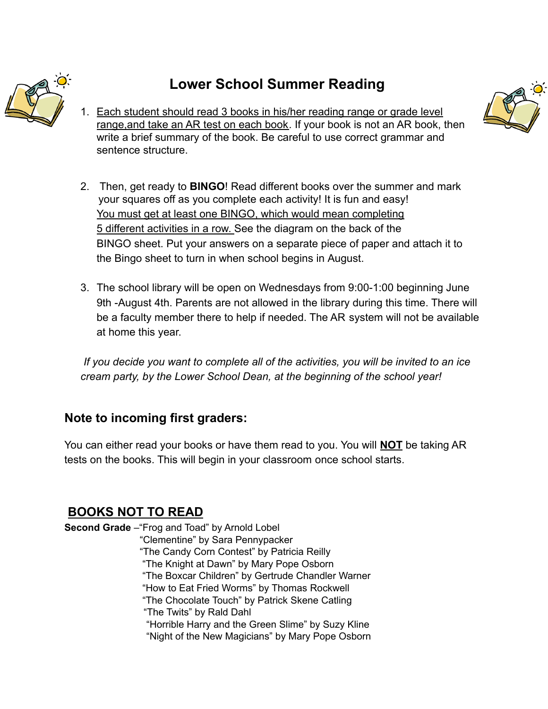

## **Lower School Summer Reading**

1. Each student should read 3 books in his/her reading range or grade level range,and take an AR test on each book. If your book is not an AR book, then write a brief summary of the book. Be careful to use correct grammar and sentence structure.



- 2. Then, get ready to **BINGO**! Read different books over the summer and mark your squares off as you complete each activity! It is fun and easy! You must get at least one BINGO, which would mean completing 5 different activities in a row. See the diagram on the back of the BINGO sheet. Put your answers on a separate piece of paper and attach it to the Bingo sheet to turn in when school begins in August.
- 3. The school library will be open on Wednesdays from 9:00-1:00 beginning June 9th -August 4th. Parents are not allowed in the library during this time. There will be a faculty member there to help if needed. The AR system will not be available at home this year.

*If you decide you want to complete all of the activities, you will be invited to an ice cream party, by the Lower School Dean, at the beginning of the school year!*

## **Note to incoming first graders:**

You can either read your books or have them read to you. You will **NOT** be taking AR tests on the books. This will begin in your classroom once school starts.

## **BOOKS NOT TO READ**

**Second Grade** –"Frog and Toad" by Arnold Lobel "Clementine" by Sara Pennypacker "The Candy Corn Contest" by Patricia Reilly "The Knight at Dawn" by Mary Pope Osborn "The Boxcar Children" by Gertrude Chandler Warner "How to Eat Fried Worms" by Thomas Rockwell "The Chocolate Touch" by Patrick Skene Catling "The Twits" by Rald Dahl "Horrible Harry and the Green Slime" by Suzy Kline "Night of the New Magicians" by Mary Pope Osborn